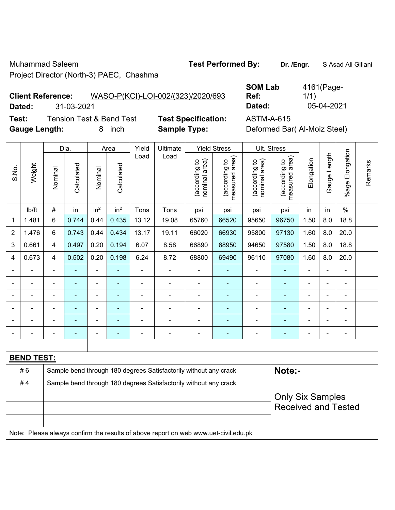Muhammad Saleem **Test Performed By: Dr. /Engr.** S Asad Ali Gillani Project Director (North-3) PAEC, Chashma

## **Client Reference:** WASO-P(KCI)-LOI-002/(323)/2020/693

**Test:** Tension Test & Bend Test **Test Specification: Gauge Length:** 8 inch **Sample Type:** Deformed Bar( Al-Moiz Steel)

|        | <b>Client Reference:</b> | WASO-P(KCI)-LOI-002/(323)/2020/693 | Ref:       | 1/1        |
|--------|--------------------------|------------------------------------|------------|------------|
| Dated: | 31-03-2021               |                                    | Dated:     | 05-04-2021 |
| Test:  | Tension Test & Bend Test | <b>Test Specification:</b>         | ASTM-A-615 |            |

**SOM Lab** 

|                |                   |                | Dia.           |                              | Area                     |                | Yield<br>Ultimate                                                                   |                                | <b>Yield Stress</b>             |                                | Ult. Stress                                           |                |                |                    |         |
|----------------|-------------------|----------------|----------------|------------------------------|--------------------------|----------------|-------------------------------------------------------------------------------------|--------------------------------|---------------------------------|--------------------------------|-------------------------------------------------------|----------------|----------------|--------------------|---------|
| S.No.          | Weight            | Nominal        | Calculated     | Nominal                      | Calculated               | Load           | Load                                                                                | nominal area)<br>(according to | measured area)<br>(according to | nominal area)<br>(according to | (according to<br>measured area)                       | Elongation     | Gauge Length   | Elongation<br>%age | Remarks |
|                | Ib/ft             | #              | in             | in <sup>2</sup>              | in <sup>2</sup>          | Tons           | Tons                                                                                | psi                            | psi                             | psi                            | psi                                                   | in             | in             | $\frac{0}{0}$      |         |
| 1              | 1.481             | 6              | 0.744          | 0.44                         | 0.435                    | 13.12          | 19.08                                                                               | 65760                          | 66520                           | 95650                          | 96750                                                 | 1.50           | 8.0            | 18.8               |         |
| $\overline{2}$ | 1.476             | $6\phantom{a}$ | 0.743          | 0.44                         | 0.434                    | 13.17          | 19.11                                                                               | 66020                          | 66930                           | 95800                          | 97130                                                 | 1.60           | 8.0            | 20.0               |         |
| 3              | 0.661             | 4              | 0.497          | 0.20                         | 0.194                    | 6.07           | 8.58                                                                                | 66890                          | 68950                           | 94650                          | 97580                                                 | 1.50           | 8.0            | 18.8               |         |
| 4              | 0.673             | 4              | 0.502          | 0.20                         | 0.198                    | 6.24           | 8.72                                                                                | 68800                          | 69490                           | 96110                          | 97080                                                 | 1.60           | 8.0            | 20.0               |         |
| $\blacksquare$ |                   | $\blacksquare$ | ÷,             | $\qquad \qquad \blacksquare$ |                          |                | ÷,                                                                                  | $\blacksquare$                 |                                 | $\overline{\phantom{a}}$       | $\blacksquare$                                        | $\blacksquare$ | $\blacksquare$ | ä,                 |         |
| $\frac{1}{2}$  | $\blacksquare$    | $\blacksquare$ | ÷              | ۰                            | ٠                        | $\blacksquare$ | ÷,                                                                                  | $\blacksquare$                 | $\blacksquare$                  | $\qquad \qquad \blacksquare$   | $\blacksquare$                                        |                |                | $\blacksquare$     |         |
| $\blacksquare$ | ÷                 | $\blacksquare$ | $\blacksquare$ | $\blacksquare$               | $\blacksquare$           | $\blacksquare$ | $\blacksquare$                                                                      | $\blacksquare$                 | $\blacksquare$                  | $\blacksquare$                 | $\blacksquare$                                        | $\blacksquare$ |                | ä,                 |         |
|                |                   |                |                |                              |                          |                |                                                                                     | $\blacksquare$                 |                                 | ä,                             |                                                       |                |                | $\blacksquare$     |         |
| ۰              |                   |                |                |                              |                          |                |                                                                                     |                                |                                 |                                |                                                       |                |                | $\blacksquare$     |         |
| $\blacksquare$ |                   | ٠              | $\blacksquare$ | ۰                            | $\overline{\phantom{0}}$ |                | $\blacksquare$                                                                      | $\blacksquare$                 | ۰                               | ۰                              | $\blacksquare$                                        | $\blacksquare$ |                | $\blacksquare$     |         |
|                |                   |                |                |                              |                          |                |                                                                                     |                                |                                 |                                |                                                       |                |                |                    |         |
|                | <b>BEND TEST:</b> |                |                |                              |                          |                |                                                                                     |                                |                                 |                                |                                                       |                |                |                    |         |
|                | #6                |                |                |                              |                          |                | Sample bend through 180 degrees Satisfactorily without any crack                    |                                |                                 |                                | Note:-                                                |                |                |                    |         |
|                | #4                |                |                |                              |                          |                | Sample bend through 180 degrees Satisfactorily without any crack                    |                                |                                 |                                |                                                       |                |                |                    |         |
|                |                   |                |                |                              |                          |                |                                                                                     |                                |                                 |                                | <b>Only Six Samples</b><br><b>Received and Tested</b> |                |                |                    |         |
|                |                   |                |                |                              |                          |                | Note: Please always confirm the results of above report on web www.uet-civil.edu.pk |                                |                                 |                                |                                                       |                |                |                    |         |

4161(Page-

1/1)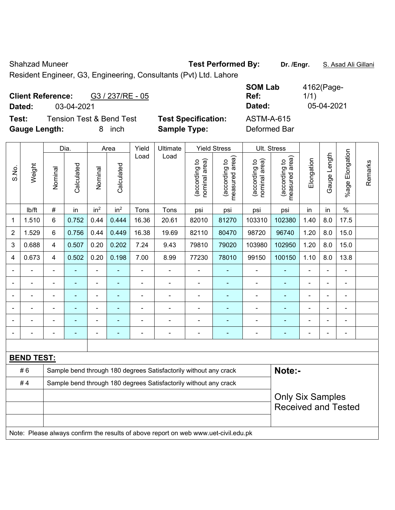Shahzad Muneer **Test Performed By:** Dr. /Engr. **S. Asad Ali Gillani** Ali Cillani

Resident Engineer, G3, Engineering, Consultants (Pvt) Ltd. Lahore

| <b>Client Reference:</b> |                                     | G3 / 237/RE - 05 |                            | <b>SOM Lab</b><br>Ref: | 4162(Page-<br>1/1) |
|--------------------------|-------------------------------------|------------------|----------------------------|------------------------|--------------------|
| Dated:                   | 03-04-2021                          |                  |                            | Dated:                 | 05-04-2021         |
| Test:                    | <b>Tension Test &amp; Bend Test</b> |                  | <b>Test Specification:</b> | ASTM-A-615             |                    |
| <b>Gauge Length:</b>     |                                     | inch<br>8.       | <b>Sample Type:</b>        | Deformed Bar           |                    |

|                |                   |                         | Dia.           |                 | Area            |                | Ultimate                                                                            |                                | <b>Yield Stress</b>                         |                                                       | Ult. Stress                     |                |                |                       |         |
|----------------|-------------------|-------------------------|----------------|-----------------|-----------------|----------------|-------------------------------------------------------------------------------------|--------------------------------|---------------------------------------------|-------------------------------------------------------|---------------------------------|----------------|----------------|-----------------------|---------|
| S.No.          | Weight            | Nominal                 | Calculated     | Nominal         | Calculated      | Load           | Load                                                                                | nominal area)<br>(according to | (according to<br>neasured area)<br>measured | (according to<br>nominal area)                        | (according to<br>measured area) | Elongation     | Gauge Length   | Elongation<br>$%$ age | Remarks |
|                | Ib/ft             | $\#$                    | in             | in <sup>2</sup> | in <sup>2</sup> | Tons           | Tons                                                                                | psi                            | psi                                         | psi                                                   | psi                             | in             | in             | $\%$                  |         |
| 1              | 1.510             | $6\phantom{a}$          | 0.752          | 0.44            | 0.444           | 16.36          | 20.61                                                                               | 82010                          | 81270                                       | 103310                                                | 102380                          | 1.40           | 8.0            | 17.5                  |         |
| $\overline{2}$ | 1.529             | 6                       | 0.756          | 0.44            | 0.449           | 16.38          | 19.69                                                                               | 82110                          | 80470                                       | 98720                                                 | 96740                           | 1.20           | 8.0            | 15.0                  |         |
| 3              | 0.688             | $\overline{\mathbf{4}}$ | 0.507          | 0.20            | 0.202           | 7.24           | 9.43                                                                                | 79810                          | 79020                                       | 103980                                                | 102950                          | 1.20           | 8.0            | 15.0                  |         |
| 4              | 0.673             | 4                       | 0.502          | 0.20            | 0.198           | 7.00           | 8.99                                                                                | 77230                          | 78010                                       | 99150                                                 | 100150                          | 1.10           | 8.0            | 13.8                  |         |
|                | ÷                 | $\blacksquare$          | $\blacksquare$ | $\blacksquare$  | ٠               | ÷,             | $\blacksquare$                                                                      |                                | $\overline{\phantom{0}}$                    | $\overline{\phantom{a}}$                              | $\blacksquare$                  | $\blacksquare$ | ÷,             | $\blacksquare$        |         |
|                | $\overline{a}$    | $\blacksquare$          | $\blacksquare$ | $\blacksquare$  | ä,              | $\blacksquare$ | $\blacksquare$                                                                      | ä,                             | $\blacksquare$                              | $\blacksquare$                                        | ÷,                              | $\blacksquare$ | $\blacksquare$ | $\blacksquare$        |         |
|                |                   |                         | $\blacksquare$ | ÷,              | ä,              |                | $\blacksquare$                                                                      |                                | $\blacksquare$                              | ä,                                                    | $\blacksquare$                  |                |                | $\blacksquare$        |         |
|                |                   |                         |                | ۰               |                 |                |                                                                                     |                                |                                             |                                                       |                                 |                |                | $\blacksquare$        |         |
|                |                   |                         |                | $\blacksquare$  |                 | $\overline{a}$ | ä,                                                                                  |                                |                                             |                                                       |                                 |                |                | $\blacksquare$        |         |
| $\blacksquare$ |                   |                         | $\blacksquare$ | ÷,              | ä,              | ÷              | ÷,                                                                                  | $\blacksquare$                 | $\blacksquare$                              | $\blacksquare$                                        | $\blacksquare$                  | Ē,             | $\blacksquare$ | $\blacksquare$        |         |
|                |                   |                         |                |                 |                 |                |                                                                                     |                                |                                             |                                                       |                                 |                |                |                       |         |
|                | <b>BEND TEST:</b> |                         |                |                 |                 |                |                                                                                     |                                |                                             |                                                       |                                 |                |                |                       |         |
|                | #6                |                         |                |                 |                 |                | Sample bend through 180 degrees Satisfactorily without any crack                    |                                |                                             |                                                       | Note:-                          |                |                |                       |         |
|                | #4                |                         |                |                 |                 |                | Sample bend through 180 degrees Satisfactorily without any crack                    |                                |                                             |                                                       |                                 |                |                |                       |         |
|                |                   |                         |                |                 |                 |                |                                                                                     |                                |                                             | <b>Only Six Samples</b><br><b>Received and Tested</b> |                                 |                |                |                       |         |
|                |                   |                         |                |                 |                 |                | Note: Please always confirm the results of above report on web www.uet-civil.edu.pk |                                |                                             |                                                       |                                 |                |                |                       |         |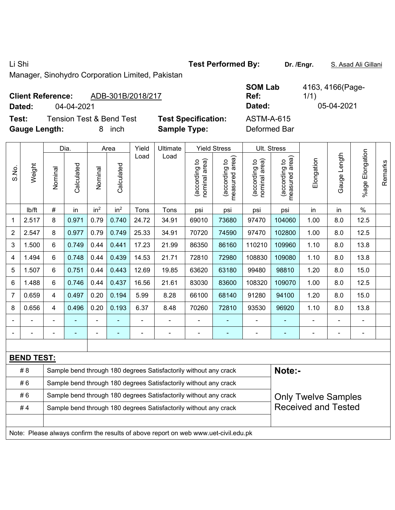Li Shi **Test Performed By: Dr. /Engr.** S. Asad Ali Gillani

Manager, Sinohydro Corporation Limited, Pakistan

## **Client Reference:** ADB-301B/2018/217

**Test:** Tension Test & Bend Test **Test Specification: Gauge Length:** 8 inch **Sample Type:** Deformed Bar

|                          |            |                          |                            | <b>SOM Lab</b> | 4163, 4166(Page- |
|--------------------------|------------|--------------------------|----------------------------|----------------|------------------|
| <b>Client Reference:</b> |            | ADB-301B/2018/217        |                            | Ref:           | 1/1)             |
| Dated:                   | 04-04-2021 |                          |                            | Dated:         | 05-04-2021       |
| Test:                    |            | Tension Test & Bend Test | <b>Test Specification:</b> | ASTM-A-615     |                  |

|       |                   | Dia.           |                |                 | Area            | Yield<br>Ultimate<br><b>Yield Stress</b> |                                                                                     |                                |                                             |                                | Ult. Stress                                 |                            |                          |                          |         |
|-------|-------------------|----------------|----------------|-----------------|-----------------|------------------------------------------|-------------------------------------------------------------------------------------|--------------------------------|---------------------------------------------|--------------------------------|---------------------------------------------|----------------------------|--------------------------|--------------------------|---------|
| S.No. | Weight            | Nominal        | Calculated     | Nominal         | Calculated      | Load                                     | Load                                                                                | nominal area)<br>(according to | (according to<br>measured area)<br>measured | nominal area)<br>(according to | (according to<br>measured area)<br>measured | Elongation                 | Gauge Length             | %age Elongation          | Remarks |
|       | Ib/ft             | $\#$           | in             | in <sup>2</sup> | in <sup>2</sup> | Tons                                     | Tons                                                                                | psi                            | psi                                         | psi                            | psi                                         | in                         | in                       | $\%$                     |         |
| 1     | 2.517             | 8              | 0.971          | 0.79            | 0.740           | 24.72                                    | 34.91                                                                               | 69010                          | 73680                                       | 97470                          | 104060                                      | 1.00                       | 8.0                      | 12.5                     |         |
| 2     | 2.547             | 8              | 0.977          | 0.79            | 0.749           | 25.33                                    | 34.91                                                                               | 70720                          | 74590                                       | 97470                          | 102800                                      | 1.00                       | 8.0                      | 12.5                     |         |
| 3     | 1.500             | 6              | 0.749          | 0.44            | 0.441           | 17.23                                    | 21.99                                                                               | 86350                          | 86160                                       | 110210                         | 109960                                      | 1.10                       | 8.0                      | 13.8                     |         |
| 4     | 1.494             | 6              | 0.748          | 0.44            | 0.439           | 14.53                                    | 21.71                                                                               | 72810                          | 72980                                       | 108830                         | 109080                                      | 1.10                       | 8.0                      | 13.8                     |         |
| 5     | 1.507             | 6              | 0.751          | 0.44            | 0.443           | 12.69                                    | 19.85                                                                               | 63620                          | 63180                                       | 99480                          | 98810                                       | 1.20                       | 8.0                      | 15.0                     |         |
| 6     | 1.488             | 6              | 0.746          | 0.44            | 0.437           | 16.56                                    | 21.61                                                                               | 83030                          | 83600                                       | 108320                         | 109070                                      | 1.00                       | 8.0                      | 12.5                     |         |
| 7     | 0.659             | 4              | 0.497          | 0.20            | 0.194           | 5.99                                     | 8.28                                                                                | 66100                          | 68140                                       | 91280                          | 94100                                       | 1.20                       | 8.0                      | 15.0                     |         |
| 8     | 0.656             | 4              | 0.496          | 0.20            | 0.193           | 6.37                                     | 8.48                                                                                | 70260                          | 72810                                       | 93530                          | 96920                                       | 1.10                       | 8.0                      | 13.8                     |         |
|       |                   | $\blacksquare$ |                | $\blacksquare$  | Ξ               | $\overline{\phantom{a}}$                 | ÷,                                                                                  | $\blacksquare$                 |                                             | $\blacksquare$                 |                                             | $\overline{\phantom{0}}$   | $\overline{\phantom{a}}$ | $\blacksquare$           |         |
|       | $\blacksquare$    | $\blacksquare$ | $\blacksquare$ | $\blacksquare$  | $\blacksquare$  | $\qquad \qquad \blacksquare$             | -                                                                                   | $\blacksquare$                 | ٠                                           | -                              | ٠                                           | $\overline{\phantom{0}}$   | $\blacksquare$           | $\overline{\phantom{a}}$ |         |
|       |                   |                |                |                 |                 |                                          |                                                                                     |                                |                                             |                                |                                             |                            |                          |                          |         |
|       | <b>BEND TEST:</b> |                |                |                 |                 |                                          |                                                                                     |                                |                                             |                                |                                             |                            |                          |                          |         |
|       | #8                |                |                |                 |                 |                                          | Sample bend through 180 degrees Satisfactorily without any crack                    |                                |                                             |                                | Note:-                                      |                            |                          |                          |         |
|       | #6                |                |                |                 |                 |                                          | Sample bend through 180 degrees Satisfactorily without any crack                    |                                |                                             |                                |                                             |                            |                          |                          |         |
|       | #6                |                |                |                 |                 |                                          | Sample bend through 180 degrees Satisfactorily without any crack                    |                                |                                             |                                |                                             | <b>Only Twelve Samples</b> |                          |                          |         |
|       | #4                |                |                |                 |                 |                                          | Sample bend through 180 degrees Satisfactorily without any crack                    |                                |                                             |                                |                                             | <b>Received and Tested</b> |                          |                          |         |
|       |                   |                |                |                 |                 |                                          |                                                                                     |                                |                                             |                                |                                             |                            |                          |                          |         |
|       |                   |                |                |                 |                 |                                          | Note: Please always confirm the results of above report on web www.uet-civil.edu.pk |                                |                                             |                                |                                             |                            |                          |                          |         |